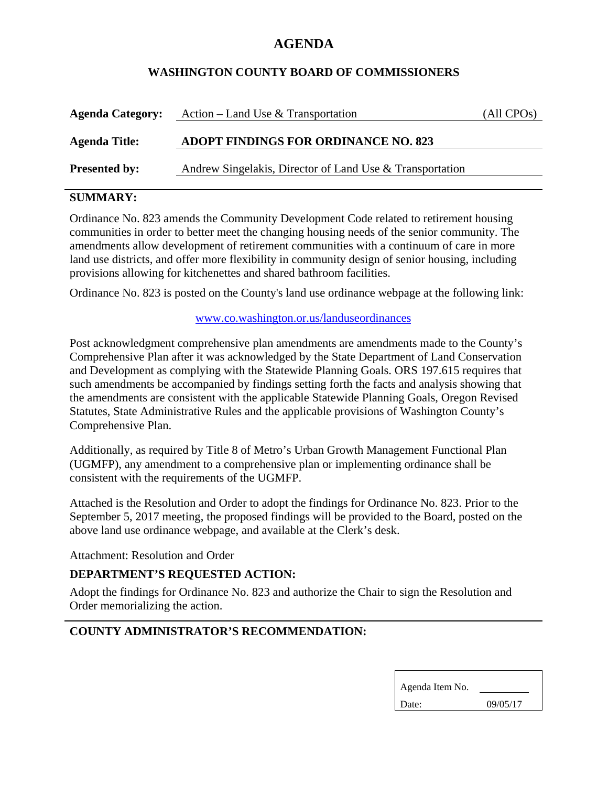# **AGENDA**

## **WASHINGTON COUNTY BOARD OF COMMISSIONERS**

| <b>Agenda Category:</b> | Action – Land Use & Transportation                       | (All CPO <sub>s</sub> ) |
|-------------------------|----------------------------------------------------------|-------------------------|
| <b>Agenda Title:</b>    | <b>ADOPT FINDINGS FOR ORDINANCE NO. 823</b>              |                         |
| <b>Presented by:</b>    | Andrew Singelakis, Director of Land Use & Transportation |                         |

## **SUMMARY:**

Ordinance No. 823 amends the Community Development Code related to retirement housing communities in order to better meet the changing housing needs of the senior community. The amendments allow development of retirement communities with a continuum of care in more land use districts, and offer more flexibility in community design of senior housing, including provisions allowing for kitchenettes and shared bathroom facilities.

Ordinance No. 823 is posted on the County's land use ordinance webpage at the following link:

www.co.washington.or.us/landuseordinances

Post acknowledgment comprehensive plan amendments are amendments made to the County's Comprehensive Plan after it was acknowledged by the State Department of Land Conservation and Development as complying with the Statewide Planning Goals. ORS 197.615 requires that such amendments be accompanied by findings setting forth the facts and analysis showing that the amendments are consistent with the applicable Statewide Planning Goals, Oregon Revised Statutes, State Administrative Rules and the applicable provisions of Washington County's Comprehensive Plan.

Additionally, as required by Title 8 of Metro's Urban Growth Management Functional Plan (UGMFP), any amendment to a comprehensive plan or implementing ordinance shall be consistent with the requirements of the UGMFP.

Attached is the Resolution and Order to adopt the findings for Ordinance No. 823. Prior to the September 5, 2017 meeting, the proposed findings will be provided to the Board, posted on the above land use ordinance webpage, and available at the Clerk's desk.

Attachment: Resolution and Order

## **DEPARTMENT'S REQUESTED ACTION:**

Adopt the findings for Ordinance No. 823 and authorize the Chair to sign the Resolution and Order memorializing the action.

## **COUNTY ADMINISTRATOR'S RECOMMENDATION:**

| Agenda Item No. |          |
|-----------------|----------|
| Date:           | 09/05/17 |